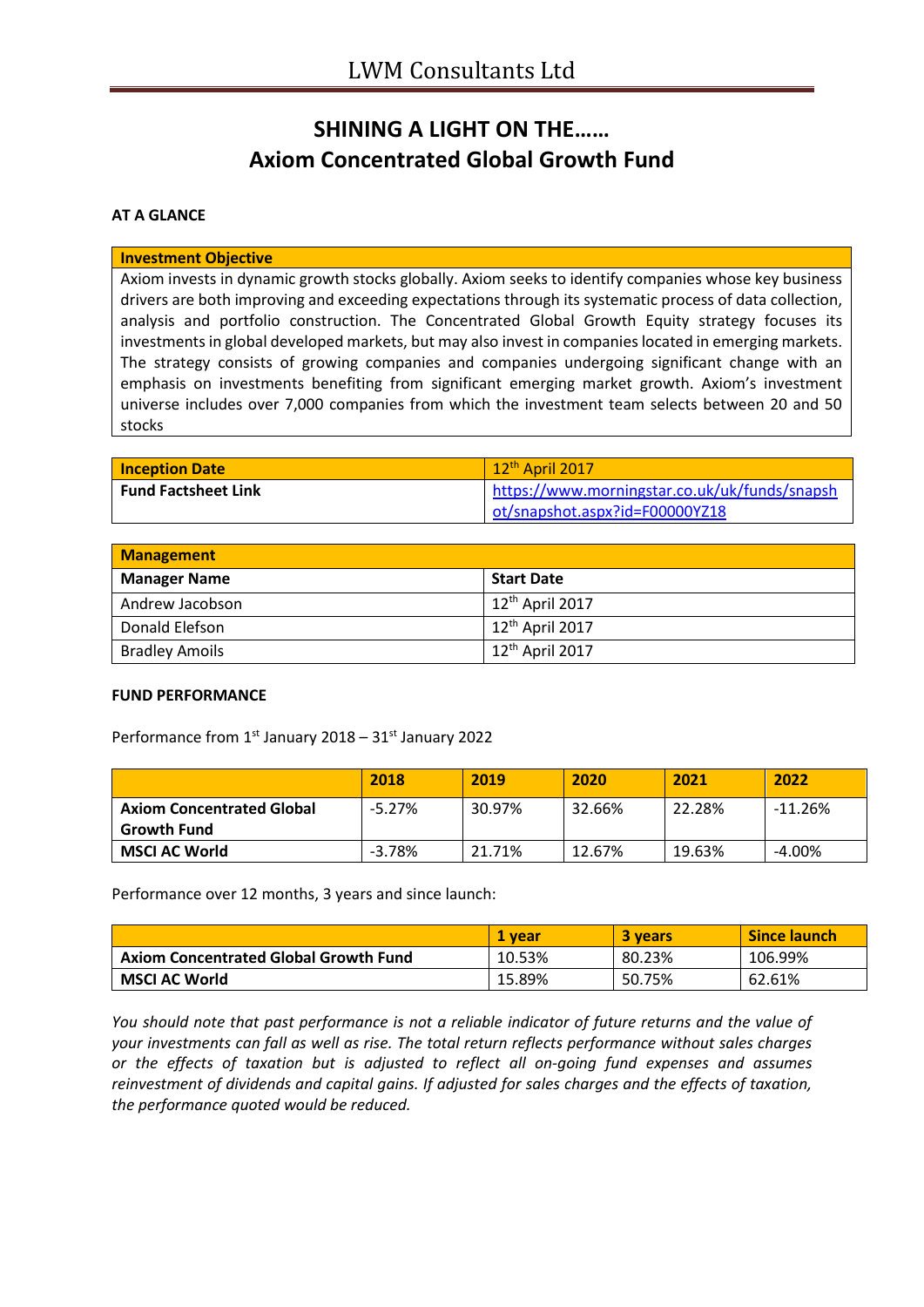# **SHINING A LIGHT ON THE…… Axiom Concentrated Global Growth Fund**

### **AT A GLANCE**

#### **Investment Objective**

Axiom invests in dynamic growth stocks globally. Axiom seeks to identify companies whose key business drivers are both improving and exceeding expectations through its systematic process of data collection, analysis and portfolio construction. The Concentrated Global Growth Equity strategy focuses its investments in global developed markets, but may also invest in companies located in emerging markets. The strategy consists of growing companies and companies undergoing significant change with an emphasis on investments benefiting from significant emerging market growth. Axiom's investment universe includes over 7,000 companies from which the investment team selects between 20 and 50 stocks

| <b>Inception Date</b>      | $\sqrt{12^{\text{th}}}$ April 2017            |
|----------------------------|-----------------------------------------------|
| <b>Fund Factsheet Link</b> | https://www.morningstar.co.uk/uk/funds/snapsh |
|                            | ot/snapshot.aspx?id=F00000YZ18                |

| <b>Management</b>     |                              |  |
|-----------------------|------------------------------|--|
| <b>Manager Name</b>   | <b>Start Date</b>            |  |
| Andrew Jacobson       | $+12^{\text{th}}$ April 2017 |  |
| Donald Elefson        | 12 <sup>th</sup> April 2017  |  |
| <b>Bradley Amoils</b> | $12th$ April 2017            |  |

#### **FUND PERFORMANCE**

Performance from  $1^{st}$  January 2018 – 31 $^{st}$  January 2022

|                                                        | 2018     | 2019   | 2020   | 2021   | 2022      |
|--------------------------------------------------------|----------|--------|--------|--------|-----------|
| <b>Axiom Concentrated Global</b><br><b>Growth Fund</b> | $-5.27%$ | 30.97% | 32.66% | 22.28% | $-11.26%$ |
| <b>MSCI AC World</b>                                   | $-3.78%$ | 21.71% | 12.67% | 19.63% | $-4.00\%$ |

Performance over 12 months, 3 years and since launch:

|                                              | 1 vear | <b>3 years</b> | Since launch |
|----------------------------------------------|--------|----------------|--------------|
| <b>Axiom Concentrated Global Growth Fund</b> | 10.53% | 80.23%         | 106.99%      |
| <b>MSCI AC World</b>                         | 15.89% | 50.75%         | 62.61%       |

*You should note that past performance is not a reliable indicator of future returns and the value of your investments can fall as well as rise. The total return reflects performance without sales charges or the effects of taxation but is adjusted to reflect all on-going fund expenses and assumes reinvestment of dividends and capital gains. If adjusted for sales charges and the effects of taxation, the performance quoted would be reduced.*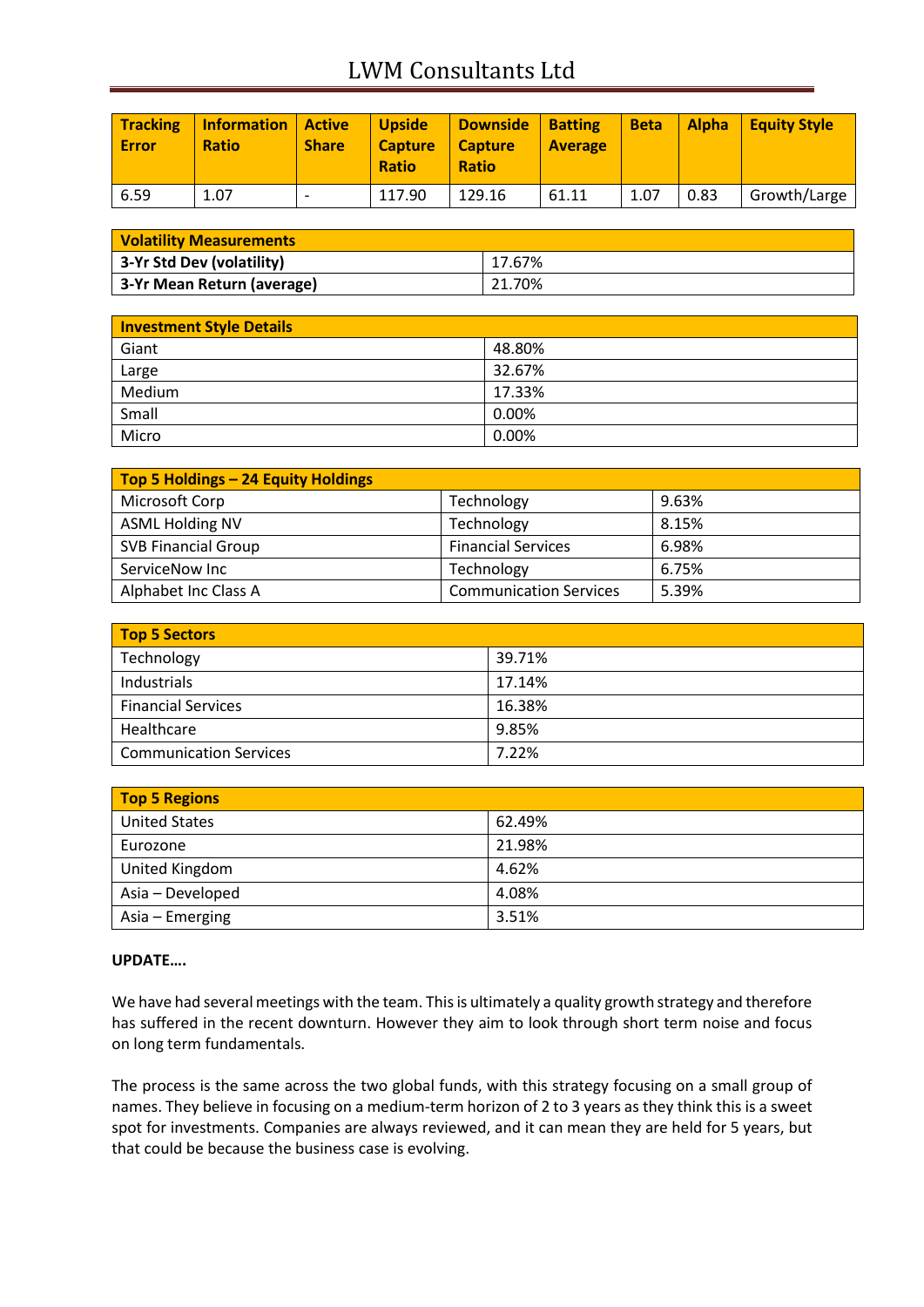# LWM Consultants Ltd

| <b>Tracking</b><br>Error | <b>Information</b><br><b>Ratio</b> | <b>Active</b><br><b>Share</b> | <b>Upside</b><br><b>Capture</b><br><b>Ratio</b> | <b>Downside</b><br><b>Capture</b><br><b>Ratio</b> | <b>Batting</b><br><b>Average</b> | <b>Beta</b> | <b>Alpha</b> | <b>Equity Style</b> |
|--------------------------|------------------------------------|-------------------------------|-------------------------------------------------|---------------------------------------------------|----------------------------------|-------------|--------------|---------------------|
| 6.59                     | 1.07                               |                               | 117.90                                          | 129.16                                            | 61.11                            | 1.07        | 0.83         | Growth/Large        |

| <b>Volatility Measurements</b> |        |  |
|--------------------------------|--------|--|
| 3-Yr Std Dev (volatility)      | 17.67% |  |
| 3-Yr Mean Return (average)     | 21.70% |  |

| <b>Investment Style Details</b> |        |  |
|---------------------------------|--------|--|
| Giant                           | 48.80% |  |
| Large                           | 32.67% |  |
| Medium                          | 17.33% |  |
| Small                           | 0.00%  |  |
| Micro                           | 0.00%  |  |

| Top 5 Holdings - 24 Equity Holdings |                               |       |
|-------------------------------------|-------------------------------|-------|
| Microsoft Corp                      | Technology                    | 9.63% |
| <b>ASML Holding NV</b>              | Technology                    | 8.15% |
| <b>SVB Financial Group</b>          | <b>Financial Services</b>     | 6.98% |
| ServiceNow Inc                      | Technology                    | 6.75% |
| Alphabet Inc Class A                | <b>Communication Services</b> | 5.39% |

| Top 5 Sectors                 |        |  |
|-------------------------------|--------|--|
| Technology                    | 39.71% |  |
| Industrials                   | 17.14% |  |
| <b>Financial Services</b>     | 16.38% |  |
| Healthcare                    | 9.85%  |  |
| <b>Communication Services</b> | 7.22%  |  |

| <b>Top 5 Regions</b> |        |  |
|----------------------|--------|--|
| <b>United States</b> | 62.49% |  |
| Eurozone             | 21.98% |  |
| United Kingdom       | 4.62%  |  |
| Asia - Developed     | 4.08%  |  |
| Asia – Emerging      | 3.51%  |  |

### **UPDATE….**

We have had several meetings with the team. This is ultimately a quality growth strategy and therefore has suffered in the recent downturn. However they aim to look through short term noise and focus on long term fundamentals.

The process is the same across the two global funds, with this strategy focusing on a small group of names. They believe in focusing on a medium-term horizon of 2 to 3 years as they think this is a sweet spot for investments. Companies are always reviewed, and it can mean they are held for 5 years, but that could be because the business case is evolving.